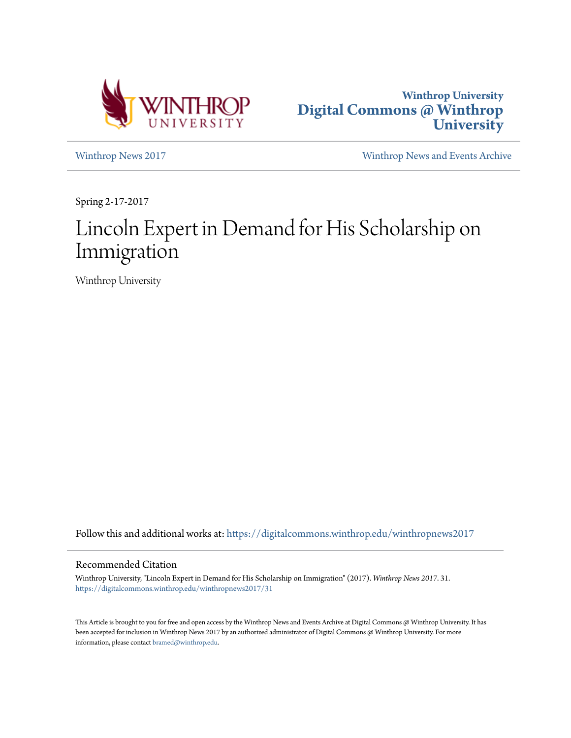



[Winthrop News 2017](https://digitalcommons.winthrop.edu/winthropnews2017?utm_source=digitalcommons.winthrop.edu%2Fwinthropnews2017%2F31&utm_medium=PDF&utm_campaign=PDFCoverPages) [Winthrop News and Events Archive](https://digitalcommons.winthrop.edu/winthropnewsarchives?utm_source=digitalcommons.winthrop.edu%2Fwinthropnews2017%2F31&utm_medium=PDF&utm_campaign=PDFCoverPages)

Spring 2-17-2017

# Lincoln Expert in Demand for His Scholarship on Immigration

Winthrop University

Follow this and additional works at: [https://digitalcommons.winthrop.edu/winthropnews2017](https://digitalcommons.winthrop.edu/winthropnews2017?utm_source=digitalcommons.winthrop.edu%2Fwinthropnews2017%2F31&utm_medium=PDF&utm_campaign=PDFCoverPages)

### Recommended Citation

Winthrop University, "Lincoln Expert in Demand for His Scholarship on Immigration" (2017). *Winthrop News 2017*. 31. [https://digitalcommons.winthrop.edu/winthropnews2017/31](https://digitalcommons.winthrop.edu/winthropnews2017/31?utm_source=digitalcommons.winthrop.edu%2Fwinthropnews2017%2F31&utm_medium=PDF&utm_campaign=PDFCoverPages)

This Article is brought to you for free and open access by the Winthrop News and Events Archive at Digital Commons @ Winthrop University. It has been accepted for inclusion in Winthrop News 2017 by an authorized administrator of Digital Commons @ Winthrop University. For more information, please contact [bramed@winthrop.edu](mailto:bramed@winthrop.edu).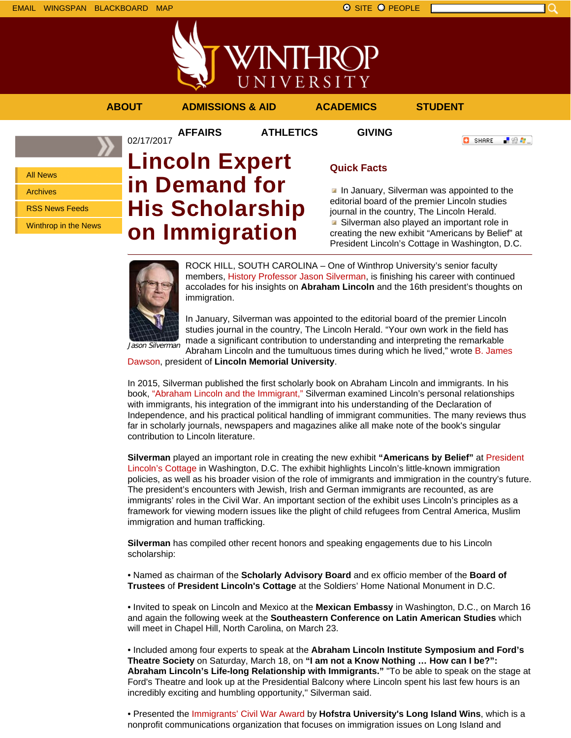

**AFFAIRS ATHLETICS GIVING**

### **ABOUT ADMISSIONS & AID ACADEMICS STUDENT**



All News

Archives

RSS News Feeds

Winthrop in the News

## 02/17/2017 **Lincoln Expert in Demand for His Scholarship on Immigration**

## **Quick Facts**

In January, Silverman was appointed to the editorial board of the premier Lincoln studies journal in the country, The Lincoln Herald. ■ Silverman also played an important role in creating the new exhibit "Americans by Belief" at President Lincoln's Cottage in Washington, D.C.

「验費」

**O** SHARE



ROCK HILL, SOUTH CAROLINA – One of Winthrop University's senior faculty members, History Professor Jason Silverman, is finishing his career with continued accolades for his insights on **Abraham Lincoln** and the 16th president's thoughts on immigration.

In January, Silverman was appointed to the editorial board of the premier Lincoln studies journal in the country, The Lincoln Herald. "Your own work in the field has made a significant contribution to understanding and interpreting the remarkable Abraham Lincoln and the tumultuous times during which he lived," wrote B. James

Dawson, president of **Lincoln Memorial University**.

In 2015, Silverman published the first scholarly book on Abraham Lincoln and immigrants. In his book, "Abraham Lincoln and the Immigrant," Silverman examined Lincoln's personal relationships with immigrants, his integration of the immigrant into his understanding of the Declaration of Independence, and his practical political handling of immigrant communities. The many reviews thus far in scholarly journals, newspapers and magazines alike all make note of the book's singular contribution to Lincoln literature.

**Silverman** played an important role in creating the new exhibit **"Americans by Belief"** at President Lincoln's Cottage in Washington, D.C. The exhibit highlights Lincoln's little-known immigration policies, as well as his broader vision of the role of immigrants and immigration in the country's future. The president's encounters with Jewish, Irish and German immigrants are recounted, as are immigrants' roles in the Civil War. An important section of the exhibit uses Lincoln's principles as a framework for viewing modern issues like the plight of child refugees from Central America, Muslim immigration and human trafficking.

**Silverman** has compiled other recent honors and speaking engagements due to his Lincoln scholarship:

• Named as chairman of the **Scholarly Advisory Board** and ex officio member of the **Board of Trustees** of **President Lincoln's Cottage** at the Soldiers' Home National Monument in D.C.

• Invited to speak on Lincoln and Mexico at the **Mexican Embassy** in Washington, D.C., on March 16 and again the following week at the **Southeastern Conference on Latin American Studies** which will meet in Chapel Hill, North Carolina, on March 23.

• Included among four experts to speak at the **Abraham Lincoln Institute Symposium and Ford's Theatre Society** on Saturday, March 18, on **"I am not a Know Nothing … How can I be?": Abraham Lincoln's Life-long Relationship with Immigrants."** "To be able to speak on the stage at Ford's Theatre and look up at the Presidential Balcony where Lincoln spent his last few hours is an incredibly exciting and humbling opportunity," Silverman said.

• Presented the Immigrants' Civil War Award by **Hofstra University's Long Island Wins**, which is a nonprofit communications organization that focuses on immigration issues on Long Island and